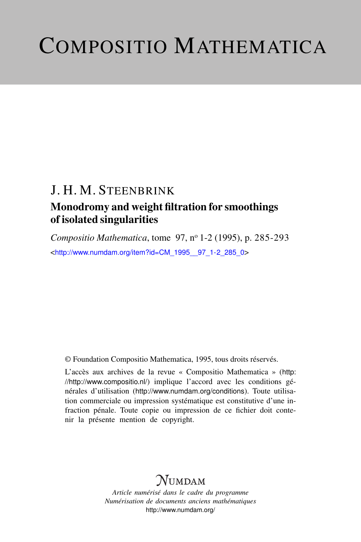# COMPOSITIO MATHEMATICA

### J. H. M. STEENBRINK

### Monodromy and weight filtration for smoothings of isolated singularities

*Compositio Mathematica*, tome 97, n<sup>o</sup> 1-2 (1995), p. 285-293 <[http://www.numdam.org/item?id=CM\\_1995\\_\\_97\\_1-2\\_285\\_0](http://www.numdam.org/item?id=CM_1995__97_1-2_285_0)>

© Foundation Compositio Mathematica, 1995, tous droits réservés.

L'accès aux archives de la revue « Compositio Mathematica » ([http:](http://http://www.compositio.nl/) [//http://www.compositio.nl/](http://http://www.compositio.nl/)) implique l'accord avec les conditions générales d'utilisation (<http://www.numdam.org/conditions>). Toute utilisation commerciale ou impression systématique est constitutive d'une infraction pénale. Toute copie ou impression de ce fichier doit contenir la présente mention de copyright.

### **NUMDAM**

*Article numérisé dans le cadre du programme Numérisation de documents anciens mathématiques* <http://www.numdam.org/>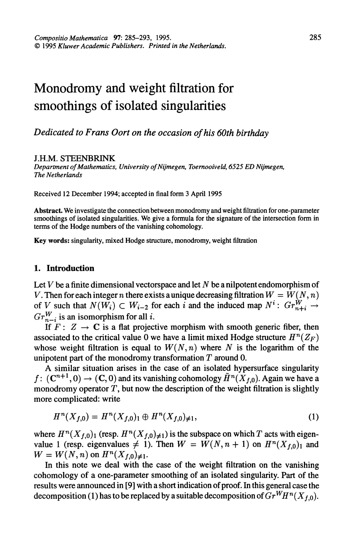## Monodromy and weight filtration for smoothings of isolated singularities

#### Dedicated to Frans Oort on the occasion of his 60th birthday

#### J.H.M. STEENBRINK

Department of Mathematics, University of Nijmegen, Toemooiveld, 6525 ED Nijmegen, The Netherlands

Received 12 December 1994; accepted in final form 3 April 1995

Abstract. We investigate the connection between monodromy and weight filtration for one-parameter smoothings of isolated singularities. We give a formula for the signature of the intersection form in terms of the Hodge numbers of the vanishing cohomology.

Key words: singularity, mixed Hodge structure, monodromy, weight filtration

#### 1. Introduction

Let  $V$  be a finite dimensional vectorspace and let  $N$  be a nilpotent endomorphism of V. Then for each integer n there exists a unique decreasing filtration  $W = W(N, n)$ of V such that  $N(W_i) \subset W_{i-2}$  for each i and the induced map  $N^i$ :  $Gr_{n+i}^W \to$  $Gr_{n-i}^W$  is an isomorphism for all *i*.

If  $F: Z \rightarrow \mathbb{C}$  is a flat projective morphism with smooth generic fiber, then associated to the critical value 0 we have a limit mixed Hodge structure  $H^n(Z_F)$ whose weight filtration is equal to  $W(N, n)$  where N is the logarithm of the unipotent part of the monodromy transformation  $T$  around 0.

A similar situation arises in the case of an isolated hypersurface singularity  $f: (\mathbf{C}^{n+1}, 0) \to (\mathbf{C}, 0)$  and its vanishing cohomology  $\tilde{H}^n(X_{f,0})$ . Again we have a monodromy operator  $T$ , but now the description of the weight filtration is slightly more complicated: write

$$
H^{n}(X_{f,0}) = H^{n}(X_{f,0}) \oplus H^{n}(X_{f,0}) \neq 1,
$$
\n(1)

where  $H^{n}(X_{f,0})$  (resp.  $H^{n}(X_{f,0})_{\neq 1}$ ) is the subspace on which T acts with eigenvalue 1 (resp. eigenvalues  $\neq$  1). Then  $W = W(N, n + 1)$  on  $H^{n}(X_{f,0})$  and  $W = W(N, n)$  on  $H^{n}(X_{f,0})_{\neq 1}$ .

In this note we deal with the case of the weight filtration on the vanishing cohomology of a one-parameter smoothing of an isolated singularity. Part of the results were announced in [9] with a short indication of proof. In this general case the decomposition (1) has to be replaced by a suitable decomposition of  $Gr<sup>WHn</sup>(X<sub>f,0</sub>)$ .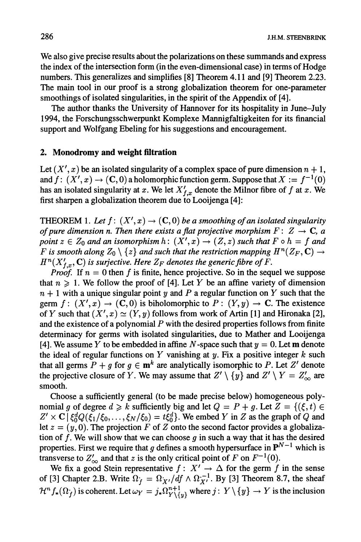We also give precise results about the polarizations on these summands and express the index of the intersection form (in the even-dimensional case) in terms of Hodge numbers. This generalizes and simplifies [8] Theorem 4.11 and [9] Theorem 2.23. The main tool in our proof is a strong globalization theorem for one-parameter smoothings of isolated singularities, in the spirit of the Appendix of [4].

The author thanks the University of Hannover for its hospitality in June-July 1994, the Forschungsschwerpunkt Komplexe Mannigfaltigkeiten for its financial support and Wolfgang Ebeling for his suggestions and encouragement.

#### 2. Monodromy and weight filtration

Let  $(X', x)$  be an isolated singularity of a complex space of pure dimension  $n + 1$ , and  $f: (X', x) \to (C, 0)$  a holomorphic function germ. Suppose that  $X := f^{-1}(0)$ has an isolated singularity at x. We let  $X'_{f,x}$  denote the Milnor fibre of f at x. We first sharpen a globalization theorem due to Looijenga [4]:

THEOREM 1. Let  $f: (X', x) \to (C, 0)$  be a smoothing of an isolated singularity of pure dimension n. Then there exists a flat projective morphism  $F: Z \to \mathbb{C}$ , a point  $z \in Z_0$  and an isomorphism  $h: (X', x) \to (Z, z)$  such that  $F \circ h = f$  and F is smooth along  $Z_0 \setminus \{z\}$  and such that the restriction mapping  $H^n(Z_F, \mathbf{C}) \to$  $H^n(X'_{f,x}, \mathbb{C})$  is surjective. Here  $Z_F$  denotes the generic fibre of F.

*Proof.* If  $n = 0$  then f is finite, hence projective. So in the sequel we suppose that  $n \geq 1$ . We follow the proof of [4]. Let Y be an affine variety of dimension  $n + 1$  with a unique singular point y and P a regular function on Y such that the germ  $f: (X', x) \to (C, 0)$  is biholomorphic to  $P: (Y, y) \to C$ . The existence of Y such that  $(X', x) \simeq (Y, y)$  follows from work of Artin [1] and Hironaka [2], and the existence of a polynomial  $P$  with the desired properties follows from finite determinacy for germs with isolated singularities, due to Mather and Looijenga [4]. We assume Y to be embedded in affine N-space such that  $y = 0$ . Let **m** denote the ideal of regular functions on Y vanishing at y. Fix a positive integer  $k$  such that all germs  $P + g$  for  $g \in \mathbf{m}^k$  are analytically isomorphic to P. Let Z' denote the projective closure of Y. We may assume that  $Z' \setminus \{y\}$  and  $Z' \setminus Y = Z'_{\infty}$  are smooth.

Choose a sufficiently general (to be made precise below) homogeneous polynomial g of degree  $d \ge k$  sufficiently big and let  $Q = P + g$ . Let  $Z = \{(\xi, t) \in$  $Z' \times \mathbf{C}$   $\{\xi_0^d Q(\xi_1/\xi_0,\ldots,\xi_N/\xi_0) = t\xi_0^d\}$ . We embed Y in Z as the graph of Q and let  $z = (y, 0)$ . The projection F of Z onto the second factor provides a globalization of f. We will show that we can choose  $g$  in such a way that it has the desired properties. First we require that g defines a smooth hypersurface in  $\mathbf{P}^{N-1}$  which is transverse to  $Z'_{\infty}$  and that z is the only critical point of F on  $F^{-1}(0)$ .

We fix a good Stein representative  $f: X' \to \Delta$  for the germ f in the sense of [3] Chapter 2.B. Write  $\Omega_f = \Omega_{X}/df \wedge \Omega_{X'}^{-1}$ . By [3] Theorem 8.7, the sheaf  $\mathcal{H}^n f_*(\Omega_f)$  is coherent. Let  $\omega_Y = j_* \Omega_{Y \setminus \{y\}}^{n+1}$  where  $j : Y \setminus \{y\} \to Y$  is the inclusion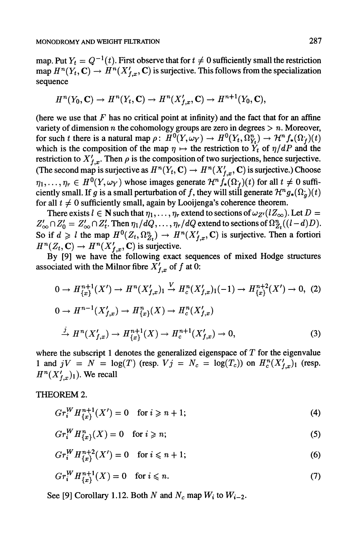map. Put  $Y_t = Q^{-1}(t)$ . First observe that for  $t \neq 0$  sufficiently small the restriction map  $H^n(Y_t, \mathbf{C}) \to H^n(X'_{t,x}, \mathbf{C})$  is surjective. This follows from the specialization sequence

$$
H^{n}(Y_0, \mathbf{C}) \to H^{n}(Y_t, \mathbf{C}) \to H^{n}(X'_{f,x}, \mathbf{C}) \to H^{n+1}(Y_0, \mathbf{C}),
$$

(here we use that  $F$  has no critical point at infinity) and the fact that for an affine variety of dimension n the cohomology groups are zero in degrees  $> n$ . Moreover, for such t there is a natural map  $\rho: H^0(Y, \omega_Y) \to H^0(Y_t, \Omega_Y^n) \to H^n f_*(\Omega_Y)(t)$ which is the composition of the map  $\eta \mapsto$  the restriction to  $Y_t$  of  $\eta/dP$  and the restriction to  $X'_{f.x}$ . Then  $\rho$  is the composition of two surjections, hence surjective. (The second map is surjective as  $H^n(Y_t, \mathbb{C}) \to H^n(X'_{t,n}, \mathbb{C})$  is surjective.) Choose  $\eta_1, \ldots, \eta_r \in H^0(Y, \omega_Y)$  whose images generate  $\mathcal{H}^n f_*(\Omega_f)(t)$  for all  $t \neq 0$  sufficiently small. If g is a small perturbation of f, they will still generate  $\mathcal{H}^ng_*(\Omega_a)(t)$ for all  $t \neq 0$  sufficiently small, again by Looijenga's coherence theorem.

There exists  $l \in \mathbb{N}$  such that  $\eta_1, \ldots, \eta_r$  extend to sections of  $\omega_{Z'}(lZ_{\infty})$ . Let  $D =$  $Z'_{\infty} \cap Z'_{0} = Z'_{\infty} \cap Z'_{t}$ . Then  $\eta_{1}/dQ, \ldots, \eta_{r}/dQ$  extend to sections of  $\Omega_{Z_{t}}^{n}((l-d)D)$ . So if  $d \ge l$  the map  $H^0(Z_t,\Omega_{Z_t}^n) \to H^n(X'_{t,x},\mathbb{C})$  is surjective. Then a fortiori  $H^n(Z_t, \mathbb{C}) \to H^n(X'_{t,x}, \mathbb{C})$  is surjective.

By [9] we have the following exact sequences of mixed Hodge structures associated with the Milnor fibre  $X'_{f,x}$  of f at 0:

$$
0 \to H_{\{x\}}^{n+1}(X') \to H^n(X'_{f,x})_1 \overset{V}{\to} H^n_c(X'_{f,x})_1(-1) \to H_{\{x\}}^{n+2}(X') \to 0, (2)
$$
  

$$
0 \to H^{n-1}(X'_{f,x}) \to H^n_{\{x\}}(X) \to H^n_c(X'_{f,x})
$$
  

$$
\overset{j}{\to} H^n(X'_{f,x}) \to H^{n+1}_{\{x\}}(X) \to H^{n+1}_c(X'_{f,x}) \to 0,
$$
 (3)

where the subscript 1 denotes the generalized eigenspace of  $T$  for the eigenvalue 1 and  $jV = N = \log(T)$  (resp.  $Vj = N_c = \log(T_c)$ ) on  $H_c^n(X'_{f,x})$  (resp.  $H^{n}(X'_{f,x})_1$ ). We recall

THEOREM 2.

$$
Gr_i^W H_{\{x\}}^{n+1}(X') = 0 \quad \text{for } i \geq n+1; \tag{4}
$$

$$
Gr_i^W H_{\{x\}}^n(X) = 0 \quad \text{for } i \geqslant n; \tag{5}
$$

$$
Gr_i^W H_{\{x\}}^{n+2}(X') = 0 \quad \text{for } i \leq n+1; \tag{6}
$$

$$
Gr_i^W H_{\{x\}}^{n+1}(X) = 0 \quad \text{for } i \leq n. \tag{7}
$$

See [9] Corollary 1.12. Both N and  $N_c$  map  $W_i$  to  $W_{i-2}$ .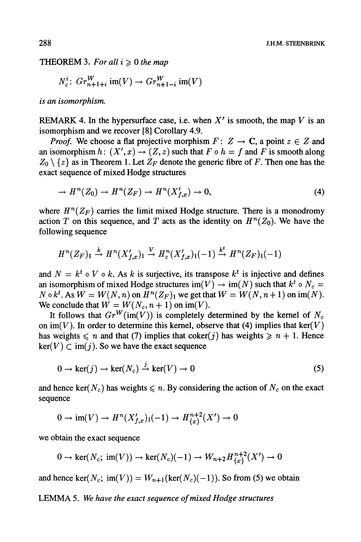#### THEOREM 3. For all  $i \geq 0$  the map

$$
N_c^i\colon Gr_{n+1+i}^W \text{ im}(V) \to Gr_{n+1-i}^W \text{ im}(V)
$$

is an isomorphism.

REMARK 4. In the hypersurface case, i.e. when  $X'$  is smooth, the map V is an isomorphism and we recover [8] Corollary 4.9.

*Proof.* We choose a flat projective morphism  $F: Z \rightarrow \mathbb{C}$ , a point  $z \in Z$  and an isomorphism  $h: (X', x) \to (Z, z)$  such that  $F \circ h = f$  and  $F$  is smooth along  $Z_0 \setminus \{z\}$  as in Theorem 1. Let  $Z_F$  denote the generic fibre of F. Then one has the exact sequence of mixed Hodge structures

$$
\rightarrow H^{n}(Z_{0}) \rightarrow H^{n}(Z_{F}) \rightarrow H^{n}(X'_{f,x}) \rightarrow 0,
$$
\n(4)

where  $H^n(Z_F)$  carries the limit mixed Hodge structure. There is a monodromy action T on this sequence, and T acts as the identity on  $H^n(Z_0)$ . We have the following sequence

$$
H^n(Z_F)_1 \stackrel{k}{\rightarrow} H^n(X'_{f,x})_1 \stackrel{V}{\rightarrow} H^n_c(X'_{f,x})_1(-1) \stackrel{k^t}{\rightarrow} H^n(Z_F)_1(-1)
$$

and  $N = k^t \circ V \circ k$ . As k is surjective, its transpose  $k^t$  is injective and defines an isomorphism of mixed Hodge structures im(V)  $\rightarrow$  im(N) such that  $k^t \circ N_c =$  $N \circ k^t$ . As  $W = W(N, n)$  on  $H^n(Z_F)$  we get that  $W = W(N, n+1)$  on im(N). We conclude that  $W = W(N_c, n + 1)$  on im(V).

It follows that  $Gr^W(\text{im}(V))$  is completely determined by the kernel of  $N_c$ on im(V). In order to determine this kernel, observe that (4) implies that ker(V) has weights  $\leq n$  and that (7) implies that coker(j) has weights  $\geq n + 1$ . Hence  $\ker(V) \subset \text{im}(j)$ . So we have the exact sequence

$$
0 \to \ker(j) \to \ker(N_c) \xrightarrow{j} \ker(V) \to 0 \tag{5}
$$

and hence ker( $N_c$ ) has weights  $\le n$ . By considering the action of  $N_c$  on the exact sequence

$$
0 \to \text{im}(V) \to H^n(X'_{f,x})_1(-1) \to H^{n+2}_{\{x\}}(X') \to 0
$$

we obtain the exact sequence

$$
0 \to \ker(N_c; \operatorname{im}(V)) \to \ker(N_c)(-1) \to W_{n+2}H^{n+2}_{\{x\}}(X') \to 0
$$

and hence ker( $N_c$ ; im(V)) =  $W_{n+1}$ (ker( $N_c$ )(-1)). So from (5) we obtain

LEMMA 5. We have the exact sequence of mixed Hodge structures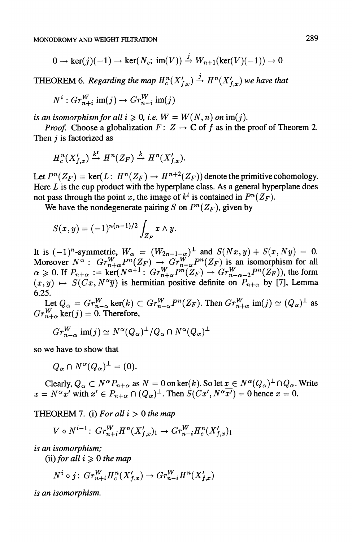$$
0 \to \ker(j)(-1) \to \ker(N_c; \operatorname{im}(V)) \xrightarrow{j} W_{n+1}(\ker(V)(-1)) \to 0
$$

THEOREM 6. Regarding the map  $H_c^n(X'_{t,r}) \stackrel{j}{\rightarrow} H^n(X'_{t,r})$  we have that

$$
N^i: Gr^W_{n+i} \text{ im}(j) \to Gr^W_{n-i} \text{ im}(j)
$$

is an isomorphism for all  $i \geq 0$ , i.e.  $W = W(N, n)$  on im(j).

*Proof.* Choose a globalization  $F: Z \to \mathbb{C}$  of f as in the proof of Theorem 2. Then  $i$  is factorized as

$$
H_c^n(X'_{f,x}) \stackrel{k^t}{\to} H^n(Z_F) \stackrel{k}{\to} H^n(X'_{f,x}).
$$

Let  $P^n(Z_F) = \text{ker}(L: H^n(Z_F) \to H^{n+2}(Z_F))$  denote the primitive cohomology. Here  $L$  is the cup product with the hyperplane class. As a general hyperplane does not pass through the point x, the image of  $k^t$  is contained in  $P^n(Z_F)$ .

We have the nondegenerate pairing S on  $P^{n}(Z_{F})$ , given by

$$
S(x, y) = (-1)^{n(n-1)/2} \int_{Z_F} x \wedge y.
$$

It is  $(-1)^n$ -symmetric,  $W_\alpha = (W_{2n-1-\alpha})^\perp$  and  $S(Nx, y) + S(x, Ny) = 0$ . Moreover  $N^{\alpha}$ :  $Gr_{n+\alpha}^W P^n(Z_F) \to Gr_{n-\alpha}^W P^n(Z_F)$  is an isomorphism for all  $\alpha \geq 0$ . If  $P_{n+\alpha} := \text{ker}(N^{\alpha+1} : Gr_{n+\alpha}^W P^{n}(Z_F) \to Gr_{n-\alpha-2}^W P^{n}(Z_F)),$  the form  $(x,y) \mapsto S(Cx, N^{\alpha}\overline{y})$  is hermitian positive definite on  $P_{n+\alpha}$  by [7], Lemma 6.25.

Let  $Q_{\alpha} = Gr_{n-\alpha}^W$  ker $(k) \subset Gr_{n-\alpha}^W P^{n}(Z_F)$ . Then  $Gr_{n+\alpha}^W$  im $(j) \simeq (Q_{\alpha})^{\perp}$  as  $Gr_{n+\alpha}^{W}$  ker( j ) = 0. Therefore,

$$
Gr_{n-\alpha}^W \text{ im}(j) \simeq N^{\alpha}(Q_{\alpha})^{\perp}/Q_{\alpha} \cap N^{\alpha}(Q_{\alpha})^{\perp}
$$

so we have to show that

$$
Q_{\alpha} \cap N^{\alpha}(Q_{\alpha})^{\perp} = (0).
$$

Clearly,  $Q_{\alpha} \subset N^{\alpha}P_{n+\alpha}$  as  $N = 0$  on ker(k). So let  $x \in N^{\alpha}(Q_{\alpha})^{\perp} \cap Q_{\alpha}$ . Write  $x = N^{\alpha}x'$  with  $x' \in P_{n+\alpha} \cap (Q_{\alpha})^{\perp}$ . Then  $S(Cx', N^{\alpha}x') = 0$  hence  $x = 0$ .

THEOREM 7. (i) For all  $i > 0$  the map

$$
V \circ N^{i-1} \colon Gr_{n+i}^W H^n(X_{f,x}')_1 \to Gr_{n-i}^W H^n_c(X_{f,x}')_1
$$

is an isomorphism;

(ii) for all  $i \geqslant 0$  the map

$$
N^i \circ j \colon Gr_{n+i}^W H_c^n(X'_{f,x}) \to Gr_{n-i}^W H^n(X'_{f,x})
$$

is an isomorphism.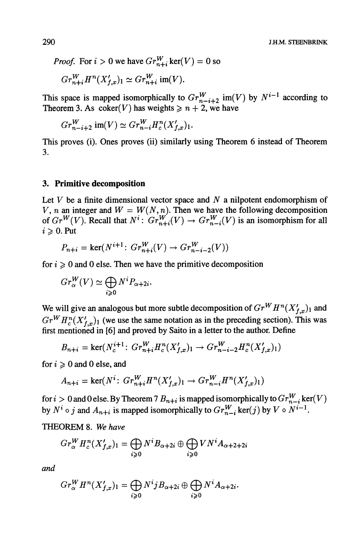*Proof.* For  $i > 0$  we have  $Gr_{n+i}^W$  ker(V) = 0 so

$$
Gr_{n+i}^WH^n(X'_{f,x})_1 \simeq Gr_{n+i}^W \text{ im}(V).
$$

This space is mapped isomorphically to  $Gr_{n-i+2}^W$  im(V) by  $N^{i-1}$  according to Theorem 3. As  $\text{coker}(V)$  has weights  $\geq n + 2$ , we have

$$
Gr_{n-i+2}^W \text{ im}(V) \simeq Gr_{n-i}^W H_c^n(X'_{f,x})_1.
$$

This proves (i). Ones proves (ii) similarly using Theorem 6 instead of Theorem 3.

#### 3. Primitive decomposition

Let  $V$  be a finite dimensional vector space and  $N$  a nilpotent endomorphism of V, n an integer and  $W = W(N, n)$ . Then we have the following decomposition of  $Gr^W(V)$ . Recall that  $N^i$ :  $Gr_{n+i}^W(V) \to Gr_{n-i}^W(V)$  is an isomorphism for all  $i \geqslant 0$ . Put

$$
P_{n+i} = \ker(N^{i+1} \colon Gr_{n+i}^W(V) \to Gr_{n-i-2}^W(V))
$$

for  $i \geq 0$  and 0 else. Then we have the primitive decomposition

$$
Gr^W_{\alpha}(V) \simeq \bigoplus_{i \geq 0} N^i P_{\alpha + 2i}.
$$

We will give an analogous but more subtle decomposition of  $Gr<sup>W</sup> H<sup>n</sup>(X'_{f,x})<sub>1</sub>$  and  $Gr<sup>W</sup> H<sub>c</sub><sup>n</sup>(X'_{t,x})<sub>1</sub>$  (we use the same notation as in the preceding section). This was first mentioned in [6] and proved by Saito in a letter to the author. Define

$$
B_{n+i} = \ker(N_c^{i+1}: Gr_{n+i}^W H_c^n(X_{f,x}')_1 \to Gr_{n-i-2}^W H_c^n(X_{f,x}')_1)
$$

for  $i \geqslant 0$  and 0 else, and

$$
A_{n+i} = \ker(N^{i} \colon Gr_{n+i}^{W} H^{n}(X'_{f,x})_{1} \to Gr_{n-i}^{W} H^{n}(X'_{f,x})_{1})
$$

for  $i > 0$  and 0 else. By Theorem 7  $B_{n+i}$  is mapped isomorphically to  $Gr_{n-i}^W$  ker(V) by  $N^i \circ j$  and  $A_{n+i}$  is mapped isomorphically to  $Gr_{n-i}^W$  ker(j) by  $V \circ N^{i-1}$ .

THEOREM 8. We have

$$
Gr_{\alpha}^{W} H_{c}^{n}(X'_{f,x})_{1} = \bigoplus_{i \geqslant 0} N^{i} B_{\alpha+2i} \oplus \bigoplus_{i \geqslant 0} VN^{i} A_{\alpha+2+2i}
$$

and

$$
Gr_{\alpha}^{W} H^{n}(X'_{f,x})_{1} = \bigoplus_{i \geq 0} N^{i}jB_{\alpha+2i} \oplus \bigoplus_{i \geq 0} N^{i}A_{\alpha+2i}.
$$

290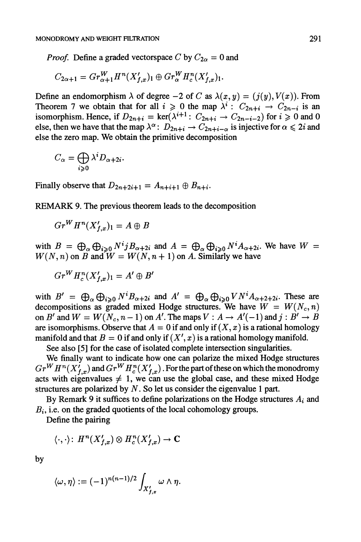*Proof.* Define a graded vectorspace C by  $C_{2\alpha} = 0$  and

$$
C_{2\alpha+1} = Gr^W_{\alpha+1}H^n(X'_{f,x})_1 \oplus Gr^W_{\alpha}H^n_c(X'_{f,x})_1.
$$

Define an endomorphism  $\lambda$  of degree  $-2$  of C as  $\lambda(x, y) = (j(y), V(x))$ . From Theorem 7 we obtain that for all  $i \geq 0$  the map  $\lambda^i$  :  $C_{2n+i} \to C_{2n-i}$  is an isomorphism. Hence, if  $D_{2n+i} = \text{ker}(\lambda^{i+1}: C_{2n+i} \to C_{2n-i-2})$  for  $i \ge 0$  and 0 else, then we have that the map  $\lambda^{\alpha}$ :  $D_{2n+i} \rightarrow C_{2n+i-\alpha}$  is injective for  $\alpha \leq 2i$  and else the zero map. We obtain the primitive decomposition

$$
C_{\alpha} = \bigoplus_{i \geq 0} \lambda^i D_{\alpha + 2i}.
$$

Finally observe that  $D_{2n+2i+1} = A_{n+i+1} \oplus B_{n+i}$ .

REMARK 9. The previous theorem leads to the decomposition

$$
Gr^WH^n(X'_{f,x})_1 = A \oplus B
$$

with  $B = \bigoplus_{\alpha} \bigoplus_{i \geqslant 0} N^i j B_{\alpha+2i}$  and  $A = \bigoplus_{\alpha} \bigoplus_{i \geqslant 0} N^i A_{\alpha+2i}$ . We have  $W =$  $W(N, n)$  on B and  $W = W(N, n + 1)$  on A. Similarly we have

$$
Gr^WH_c^n(X'_{f,x})_1 = A' \oplus B'
$$

with  $B' = \bigoplus_{\alpha} \bigoplus_{i \geq 0} N^i B_{\alpha+2i}$  and  $A' = \bigoplus_{\alpha} \bigoplus_{i \geq 0} VN^i A_{\alpha+2+2i}$ . These are decompositions as graded mixed Hodge structures. We have  $W = W(N_c, n)$ on B' and  $W = W(N_c, n-1)$  on A'. The maps  $V : A \to A'(-1)$  and  $j : B' \to B$ <br>are isomorphisms. Observe that  $A = 0$  if and only if  $(X, x)$  is a rational homology manifold and that  $B = 0$  if and only if  $(X', x)$  is a rational homology manifold.

See also [5] for the case of isolated complete intersection singularities.

We finally want to indicate how one can polarize the mixed Hodge structures  $Gr^WH^n(X'_{f,x})$  and  $Gr^WH^n_c(X'_{f,x})$ . For the part of these on which the monodromy acts with eigenvalues  $\neq 1$ , we can use the global case, and these mixed Hodge structures are polarized by  $N$ . So let us consider the eigenvalue 1 part.

By Remark 9 it suffices to define polarizations on the Hodge structures  $A_i$  and  $B_i$ , i.e. on the graded quotients of the local cohomology groups.

Define the pairing

$$
\langle\cdot,\cdot\rangle\colon\thinspace H^n(X_{f,x}')\otimes H^n_c(X_{f,x}')\to\mathbf{C}
$$

by

$$
\langle \omega, \eta \rangle := (-1)^{n(n-1)/2} \int_{X'_{f,x}} \omega \wedge \eta.
$$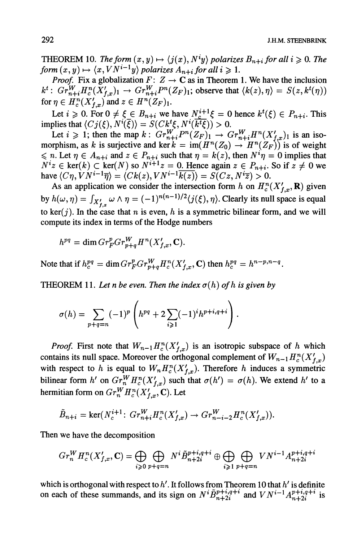**J.H.M. STEENBRINK** 

THEOREM 10. The form  $(x, y) \mapsto \langle j(x), N^i y \rangle$  polarizes  $B_{n+i}$  for all  $i \geq 0$ . The form  $(x, y) \mapsto \langle x, VN^{i-1}y \rangle$  polarizes  $A_{n+i}$  for all  $i \geq 1$ .

*Proof.* Fix a globalization  $F: Z \to \mathbb{C}$  as in Theorem 1. We have the inclusion  $k^t$ :  $Gr_{n+i}^WH_c^n(X'_{f,x})_1 \rightarrow Gr_{n+i}^WH_c^n(Z_F)_1$ ; observe that  $\langle k(z), \eta \rangle = S(z, k^t(\eta))$ for  $\eta \in H_c^n(X'_{t,r})$  and  $z \in H^n(Z_F)_1$ .

Let  $i \geq 0$ . For  $0 \neq \xi \in B_{n+i}$  we have  $N_c^{i+1}\xi = 0$  hence  $k^t(\xi) \in P_{n+i}$ . This implies that  $\langle Cj(\xi), N^{i}(\overline{\xi})\rangle = S(Ck^{t}\xi, N^{i}(\overline{k^{t}\xi})) > 0.$ 

Let  $i \ge 1$ ; then the map  $k$ :  $Gr_{n+i}^W P^n(Z_F)_1 \to Gr_{n+i}^W H^n(X'_{f,x})_1$  is an iso-<br>morphism, as k is surjective and ker  $k = \text{im}(H^n(Z_0) \to H^n(Z_F))$  is of weight morphism, as k is surjective and ker  $k = \text{im}(H^n(Z_0) \to H^n(Z_F))$  is of weight  $\leq n$ . Let  $\eta \in A_{n+i}$  and  $z \in P_{n+i}$  such that  $\eta = k(z)$ , then  $N^i \eta = 0$  implies that  $N^i z \in \text{ker}(k) \subset \text{ker}(N)$  so  $N^{i+1} z = 0$ . Hence again  $z \in P_{n+i}$ . So if  $z \neq 0$  we have  $\langle C\eta, VN^{i-1}\overline{\eta}\rangle = \langle Ck(z),VN^{i-1}\overline{k(z)}\rangle = S(Cz,N^{i}\overline{z}) > 0.$ 

As an application we consider the intersection form h on  $H_c^n(X'_{f,x},\mathbf{R})$  given by  $h(\omega, \eta) = \int_{X'_{t,x}} \omega \wedge \eta = (-1)^{n(n-1)/2} \langle j(\xi), \eta \rangle$ . Clearly its null space is equal to ker(j). In the case that n is even, h is a symmetric bilinear form, and we will compute its index in terms of the Hodge numbers

$$
h^{pq} = \dim Gr_F^p Gr_{p+q}^W H^n(X'_{f,x}, \mathbf{C}).
$$

Note that if  $h_c^{pq} = \dim Gr_F^p Gr_{p+q}^W H_c^n(X'_{t,r}, \mathbb{C})$  then  $h_c^{pq} = h^{n-p,n-q}$ .

THEOREM 11. Let n be even. Then the index  $\sigma(h)$  of h is given by

$$
\sigma(h) = \sum_{p+q=n} (-1)^p \left( h^{pq} + 2 \sum_{i \geq 1} (-1)^i h^{p+i,q+i} \right).
$$

*Proof.* First note that  $W_{n-1}H_c^n(X'_{f,x})$  is an isotropic subspace of h which contains its null space. Moreover the orthogonal complement of  $W_{n-1}H_c^n(X'_{t,x})$ with respect to h is equal to  $W_n H_c^n(X'_{t,x})$ . Therefore h induces a symmetric bilinear form h' on  $Gr_n^WH_c^n(X'_{f,x})$  such that  $\sigma(h') = \sigma(h)$ . We extend h' to a hermitian form on  $Gr_n^WH_c^n(X'_{t,x}, \mathbb{C})$ . Let

$$
\tilde{B}_{n+i} = \ker(N_c^{i+1}: Gr_{n+i}^W H_c^n(X'_{f,x}) \to Gr_{n-i-2}^W H_c^n(X'_{f,x})).
$$

Then we have the decomposition

$$
Gr_n^WH_c^n(X'_{f,x}, \mathbf{C}) = \bigoplus_{i \geqslant 0} \bigoplus_{p+q=n} N^i \tilde{B}_{n+2i}^{p+i,q+i} \oplus \bigoplus_{i \geqslant 1} \bigoplus_{p+q=n} VN^{i-1}A_{n+2i}^{p+i,q+i}
$$

which is orthogonal with respect to  $h'$ . It follows from Theorem 10 that  $h'$  is definite on each of these summands, and its sign on  $N^{i} \tilde{B}_{n+2i}^{p+i,q+i}$  and  $VN^{i-1} A_{n+2i}^{p+i,q+i}$  is